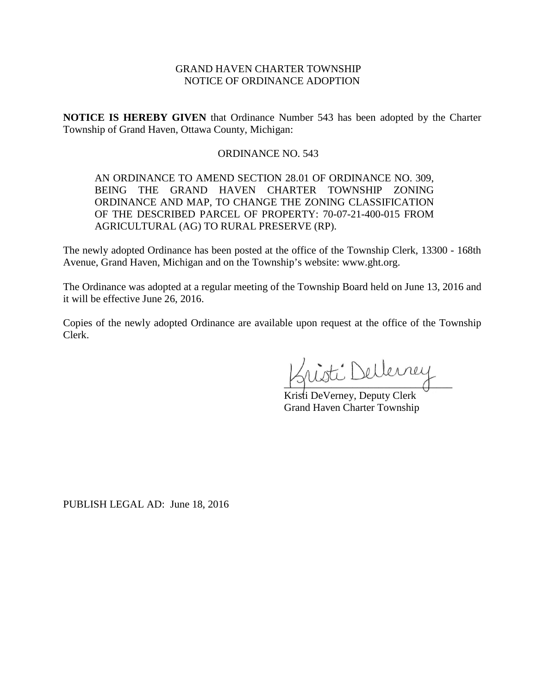# GRAND HAVEN CHARTER TOWNSHIP NOTICE OF ORDINANCE ADOPTION

**NOTICE IS HEREBY GIVEN** that Ordinance Number 543 has been adopted by the Charter Township of Grand Haven, Ottawa County, Michigan:

## ORDINANCE NO. 543

AN ORDINANCE TO AMEND SECTION 28.01 OF ORDINANCE NO. 309, BEING THE GRAND HAVEN CHARTER TOWNSHIP ZONING ORDINANCE AND MAP, TO CHANGE THE ZONING CLASSIFICATION OF THE DESCRIBED PARCEL OF PROPERTY: 70-07-21-400-015 FROM AGRICULTURAL (AG) TO RURAL PRESERVE (RP).

The newly adopted Ordinance has been posted at the office of the Township Clerk, 13300 - 168th Avenue, Grand Haven, Michigan and on the Township's website: www.ght.org.

The Ordinance was adopted at a regular meeting of the Township Board held on June 13, 2016 and it will be effective June 26, 2016.

Copies of the newly adopted Ordinance are available upon request at the office of the Township Clerk.

nisti Dellerney

Kristi DeVerney, Deputy Clerk Grand Haven Charter Township

PUBLISH LEGAL AD: June 18, 2016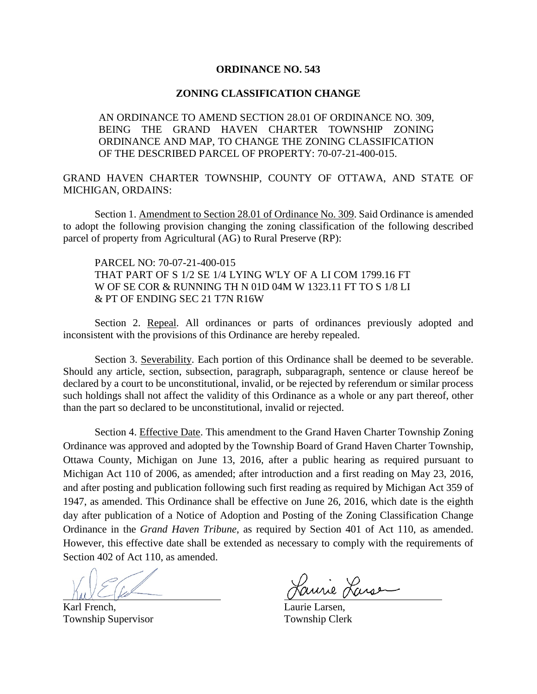### **ORDINANCE NO. 543**

### **ZONING CLASSIFICATION CHANGE**

AN ORDINANCE TO AMEND SECTION 28.01 OF ORDINANCE NO. 309, BEING THE GRAND HAVEN CHARTER TOWNSHIP ZONING ORDINANCE AND MAP, TO CHANGE THE ZONING CLASSIFICATION OF THE DESCRIBED PARCEL OF PROPERTY: 70-07-21-400-015.

GRAND HAVEN CHARTER TOWNSHIP, COUNTY OF OTTAWA, AND STATE OF MICHIGAN, ORDAINS:

Section 1. Amendment to Section 28.01 of Ordinance No. 309. Said Ordinance is amended to adopt the following provision changing the zoning classification of the following described parcel of property from Agricultural (AG) to Rural Preserve (RP):

PARCEL NO: 70-07-21-400-015 THAT PART OF S 1/2 SE 1/4 LYING W'LY OF A LI COM 1799.16 FT W OF SE COR & RUNNING TH N 01D 04M W 1323.11 FT TO S 1/8 LI & PT OF ENDING SEC 21 T7N R16W

Section 2. Repeal. All ordinances or parts of ordinances previously adopted and inconsistent with the provisions of this Ordinance are hereby repealed.

Section 3. Severability. Each portion of this Ordinance shall be deemed to be severable. Should any article, section, subsection, paragraph, subparagraph, sentence or clause hereof be declared by a court to be unconstitutional, invalid, or be rejected by referendum or similar process such holdings shall not affect the validity of this Ordinance as a whole or any part thereof, other than the part so declared to be unconstitutional, invalid or rejected.

Section 4. Effective Date. This amendment to the Grand Haven Charter Township Zoning Ordinance was approved and adopted by the Township Board of Grand Haven Charter Township, Ottawa County, Michigan on June 13, 2016, after a public hearing as required pursuant to Michigan Act 110 of 2006, as amended; after introduction and a first reading on May 23, 2016, and after posting and publication following such first reading as required by Michigan Act 359 of 1947, as amended. This Ordinance shall be effective on June 26, 2016, which date is the eighth day after publication of a Notice of Adoption and Posting of the Zoning Classification Change Ordinance in the *Grand Haven Tribune*, as required by Section 401 of Act 110, as amended. However, this effective date shall be extended as necessary to comply with the requirements of Section 402 of Act 110, as amended.

Karl French, Laurie Larsen, Township Supervisor Township Clerk

aurie Larse